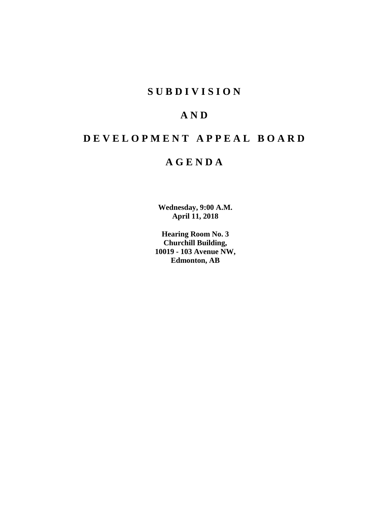# **S U B D I V I S I O N**

# **A N D**

# **D E V E L O P M E N T A P P E A L B O A R D**

# **A G E N D A**

**Wednesday, 9:00 A.M. April 11, 2018**

**Hearing Room No. 3 Churchill Building, 10019 - 103 Avenue NW, Edmonton, AB**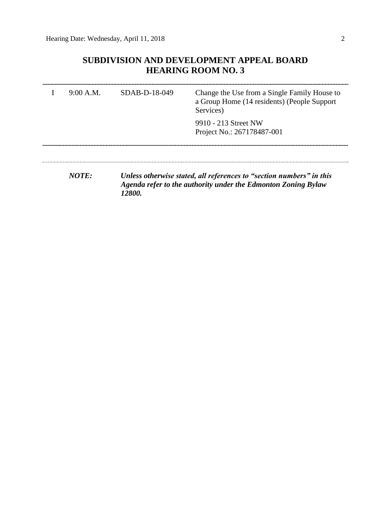# **SUBDIVISION AND DEVELOPMENT APPEAL BOARD HEARING ROOM NO. 3**

| 9:00 A.M. | $SDAB-D-18-049$ | Change the Use from a Single Family House to<br>a Group Home (14 residents) (People Support<br>Services)                              |  |  |
|-----------|-----------------|---------------------------------------------------------------------------------------------------------------------------------------|--|--|
|           |                 | 9910 - 213 Street NW<br>Project No.: 267178487-001                                                                                    |  |  |
| NOTF:     | <i>12800.</i>   | Unless otherwise stated, all references to "section numbers" in this<br>Agenda refer to the authority under the Edmonton Zoning Bylaw |  |  |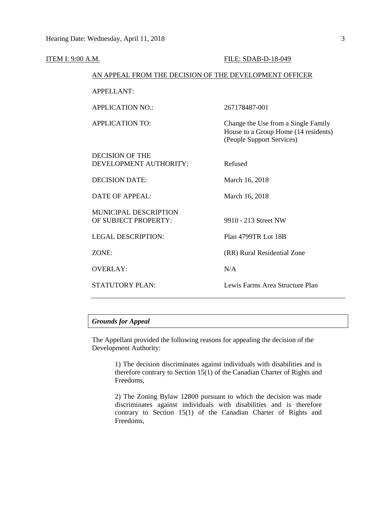| ITEM I: 9:00 A.M. |                                                        | FILE: SDAB-D-18-049                                                                                      |  |  |
|-------------------|--------------------------------------------------------|----------------------------------------------------------------------------------------------------------|--|--|
|                   | AN APPEAL FROM THE DECISION OF THE DEVELOPMENT OFFICER |                                                                                                          |  |  |
|                   | <b>APPELLANT:</b>                                      |                                                                                                          |  |  |
|                   | <b>APPLICATION NO.:</b>                                | 267178487-001                                                                                            |  |  |
|                   | <b>APPLICATION TO:</b>                                 | Change the Use from a Single Family<br>House to a Group Home (14 residents)<br>(People Support Services) |  |  |
|                   | <b>DECISION OF THE</b><br>DEVELOPMENT AUTHORITY:       | Refused                                                                                                  |  |  |
|                   | <b>DECISION DATE:</b>                                  | March 16, 2018                                                                                           |  |  |
|                   | DATE OF APPEAL:                                        | March 16, 2018                                                                                           |  |  |
|                   | MUNICIPAL DESCRIPTION<br>OF SUBJECT PROPERTY:          | 9910 - 213 Street NW                                                                                     |  |  |
|                   | <b>LEGAL DESCRIPTION:</b>                              | Plan 4799TR Lot 18B                                                                                      |  |  |
|                   | ZONE:                                                  | (RR) Rural Residential Zone                                                                              |  |  |
|                   | <b>OVERLAY:</b>                                        | N/A                                                                                                      |  |  |
|                   | <b>STATUTORY PLAN:</b>                                 | Lewis Farms Area Structure Plan                                                                          |  |  |
|                   |                                                        |                                                                                                          |  |  |

# *Grounds for Appeal*

The Appellant provided the following reasons for appealing the decision of the Development Authority:

> 1) The decision discriminates against individuals with disabilities and is therefore contrary to Section 15(1) of the Canadian Charter of Rights and Freedoms,

> 2) The Zoning Bylaw 12800 pursuant to which the decision was made discriminates against individuals with disabilities and is therefore contrary to Section 15(1) of the Canadian Charter of Rights and Freedoms,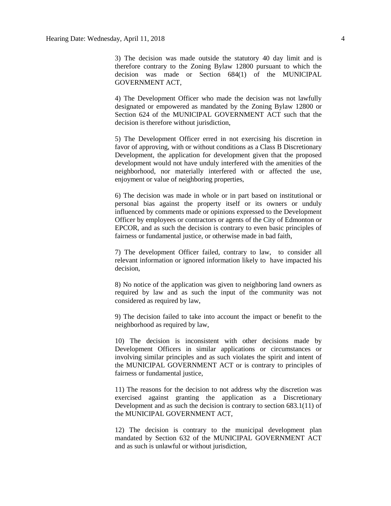3) The decision was made outside the statutory 40 day limit and is therefore contrary to the Zoning Bylaw 12800 pursuant to which the decision was made or Section 684(1) of the MUNICIPAL GOVERNMENT ACT,

4) The Development Officer who made the decision was not lawfully designated or empowered as mandated by the Zoning Bylaw 12800 or Section 624 of the MUNICIPAL GOVERNMENT ACT such that the decision is therefore without jurisdiction,

5) The Development Officer erred in not exercising his discretion in favor of approving, with or without conditions as a Class B Discretionary Development, the application for development given that the proposed development would not have unduly interfered with the amenities of the neighborhood, nor materially interfered with or affected the use, enjoyment or value of neighboring properties,

6) The decision was made in whole or in part based on institutional or personal bias against the property itself or its owners or unduly influenced by comments made or opinions expressed to the Development Officer by employees or contractors or agents of the City of Edmonton or EPCOR, and as such the decision is contrary to even basic principles of fairness or fundamental justice, or otherwise made in bad faith,

7) The development Officer failed, contrary to law, to consider all relevant information or ignored information likely to have impacted his decision,

8) No notice of the application was given to neighboring land owners as required by law and as such the input of the community was not considered as required by law,

9) The decision failed to take into account the impact or benefit to the neighborhood as required by law,

10) The decision is inconsistent with other decisions made by Development Officers in similar applications or circumstances or involving similar principles and as such violates the spirit and intent of the MUNICIPAL GOVERNMENT ACT or is contrary to principles of fairness or fundamental justice,

11) The reasons for the decision to not address why the discretion was exercised against granting the application as a Discretionary Development and as such the decision is contrary to section 683.1(11) of the MUNICIPAL GOVERNMENT ACT,

12) The decision is contrary to the municipal development plan mandated by Section 632 of the MUNICIPAL GOVERNMENT ACT and as such is unlawful or without jurisdiction,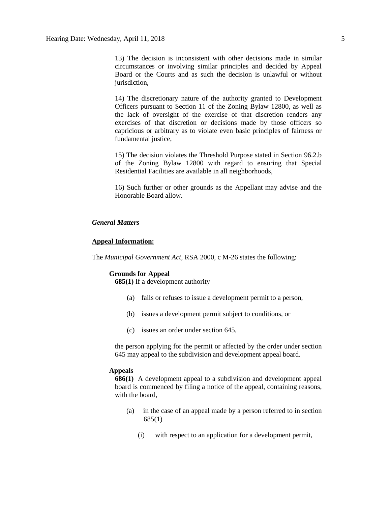13) The decision is inconsistent with other decisions made in similar circumstances or involving similar principles and decided by Appeal Board or the Courts and as such the decision is unlawful or without jurisdiction.

14) The discretionary nature of the authority granted to Development Officers pursuant to Section 11 of the Zoning Bylaw 12800, as well as the lack of oversight of the exercise of that discretion renders any exercises of that discretion or decisions made by those officers so capricious or arbitrary as to violate even basic principles of fairness or fundamental justice,

15) The decision violates the Threshold Purpose stated in Section 96.2.b of the Zoning Bylaw 12800 with regard to ensuring that Special Residential Facilities are available in all neighborhoods,

16) Such further or other grounds as the Appellant may advise and the Honorable Board allow.

## *General Matters*

## **Appeal Information:**

The *Municipal Government Act*, RSA 2000, c M-26 states the following:

## **Grounds for Appeal**

**685(1)** If a development authority

- (a) fails or refuses to issue a development permit to a person,
- (b) issues a development permit subject to conditions, or
- (c) issues an order under section 645,

the person applying for the permit or affected by the order under section 645 may appeal to the subdivision and development appeal board.

#### **Appeals**

**686(1)** A development appeal to a subdivision and development appeal board is commenced by filing a notice of the appeal, containing reasons, with the board,

- (a) in the case of an appeal made by a person referred to in section 685(1)
	- (i) with respect to an application for a development permit,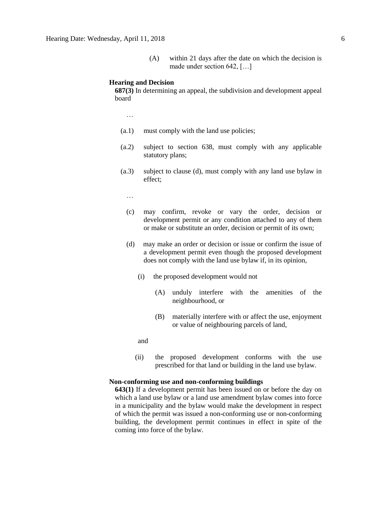(A) within 21 days after the date on which the decision is made under section 642, […]

#### **Hearing and Decision**

**687(3)** In determining an appeal, the subdivision and development appeal board

…

- (a.1) must comply with the land use policies;
- (a.2) subject to section 638, must comply with any applicable statutory plans;
- (a.3) subject to clause (d), must comply with any land use bylaw in effect;

…

- (c) may confirm, revoke or vary the order, decision or development permit or any condition attached to any of them or make or substitute an order, decision or permit of its own;
- (d) may make an order or decision or issue or confirm the issue of a development permit even though the proposed development does not comply with the land use bylaw if, in its opinion,
	- (i) the proposed development would not
		- (A) unduly interfere with the amenities of the neighbourhood, or
		- (B) materially interfere with or affect the use, enjoyment or value of neighbouring parcels of land,

and

(ii) the proposed development conforms with the use prescribed for that land or building in the land use bylaw.

### **Non-conforming use and non-conforming buildings**

**643(1)** If a development permit has been issued on or before the day on which a land use bylaw or a land use amendment bylaw comes into force in a municipality and the bylaw would make the development in respect of which the permit was issued a non-conforming use or non-conforming building, the development permit continues in effect in spite of the coming into force of the bylaw.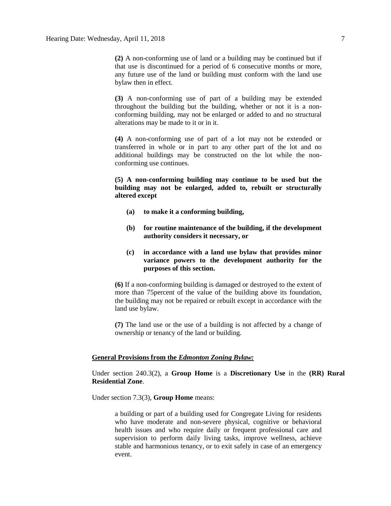**(2)** A non-conforming use of land or a building may be continued but if that use is discontinued for a period of 6 consecutive months or more, any future use of the land or building must conform with the land use bylaw then in effect.

**(3)** A non-conforming use of part of a building may be extended throughout the building but the building, whether or not it is a nonconforming building, may not be enlarged or added to and no structural alterations may be made to it or in it.

**(4)** A non-conforming use of part of a lot may not be extended or transferred in whole or in part to any other part of the lot and no additional buildings may be constructed on the lot while the nonconforming use continues.

**(5) A non-conforming building may continue to be used but the building may not be enlarged, added to, rebuilt or structurally altered except**

- **(a) to make it a conforming building,**
- **(b) for routine maintenance of the building, if the development authority considers it necessary, or**
- **(c) in accordance with a land use bylaw that provides minor variance powers to the development authority for the purposes of this section.**

**(6)** If a non-conforming building is damaged or destroyed to the extent of more than 75percent of the value of the building above its foundation, the building may not be repaired or rebuilt except in accordance with the land use bylaw.

**(7)** The land use or the use of a building is not affected by a change of ownership or tenancy of the land or building.

### **General Provisions from the** *Edmonton Zoning Bylaw:*

Under section 240.3(2), a **Group Home** is a **Discretionary Use** in the **(RR) Rural Residential Zone**.

Under section 7.3(3), **Group Home** means:

a building or part of a building used for Congregate Living for residents who have moderate and non-severe physical, cognitive or behavioral health issues and who require daily or frequent professional care and supervision to perform daily living tasks, improve wellness, achieve stable and harmonious tenancy, or to exit safely in case of an emergency event.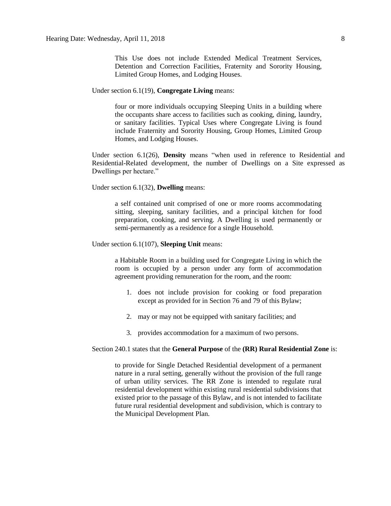This Use does not include Extended Medical Treatment Services, Detention and Correction Facilities, Fraternity and Sorority Housing, Limited Group Homes, and Lodging Houses.

Under section 6.1(19), **Congregate Living** means:

four or more individuals occupying Sleeping Units in a building where the occupants share access to facilities such as cooking, dining, laundry, or sanitary facilities. Typical Uses where Congregate Living is found include Fraternity and Sorority Housing, Group Homes, Limited Group Homes, and Lodging Houses.

Under section 6.1(26), **Density** means "when used in reference to Residential and Residential-Related development, the number of Dwellings on a Site expressed as Dwellings per hectare."

Under section 6.1(32), **Dwelling** means:

a self contained unit comprised of one or more rooms accommodating sitting, sleeping, sanitary facilities, and a principal kitchen for food preparation, cooking, and serving. A Dwelling is used permanently or semi-permanently as a residence for a single Household.

Under section 6.1(107), **Sleeping Unit** means:

a Habitable Room in a building used for Congregate Living in which the room is occupied by a person under any form of accommodation agreement providing remuneration for the room, and the room:

- 1. does not include provision for cooking or food preparation except as provided for in Section 76 and 79 of this Bylaw;
- 2. may or may not be equipped with sanitary facilities; and
- 3. provides accommodation for a maximum of two persons.

#### Section 240.1 states that the **General Purpose** of the **(RR) Rural Residential Zone** is:

to provide for Single Detached Residential development of a permanent nature in a rural setting, generally without the provision of the full range of urban utility services. The RR Zone is intended to regulate rural residential development within existing rural residential subdivisions that existed prior to the passage of this Bylaw, and is not intended to facilitate future rural residential development and subdivision, which is contrary to the Municipal Development Plan.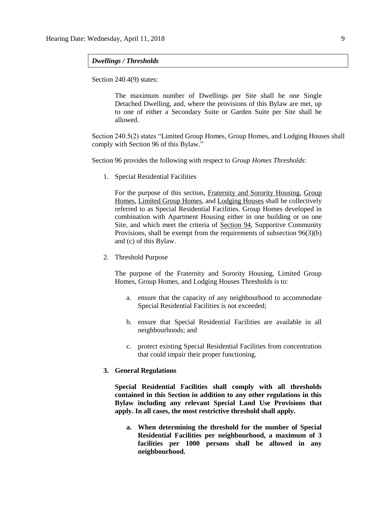### *Dwellings / Thresholds*

Section 240.4(9) states:

The maximum number of Dwellings per Site shall be one Single Detached Dwelling, and, where the provisions of this Bylaw are met, up to one of either a Secondary Suite or Garden Suite per Site shall be allowed.

Section 240.5(2) states "Limited Group Homes, Group Homes, and Lodging Houses shall comply with Section 96 of this Bylaw."

Section 96 provides the following with respect to *Group Homes Thresholds*:

1. Special Residential Facilities

For the purpose of this section, [Fraternity and Sorority Housing, Group](javascript:void(0);)  [Homes, Limited Group Homes,](javascript:void(0);) and [Lodging Houses](javascript:void(0);) shall be collectively referred to as Special Residential Facilities. Group Homes developed in combination with Apartment Housing either in one building or on one Site, and which meet the criteria of [Section 94,](http://webdocs.edmonton.ca/InfraPlan/zoningbylaw/ZoningBylaw/Part1/Special_Land/94._Supportive_Community_Provision.htm) Supportive Community Provisions, shall be exempt from the requirements of subsection 96(3)(b) and (c) of this Bylaw.

2. Threshold Purpose

The purpose of the Fraternity and Sorority Housing, Limited Group Homes, Group Homes, and Lodging Houses Thresholds is to:

- a. ensure that the capacity of any neighbourhood to accommodate Special Residential Facilities is not exceeded;
- b. ensure that Special Residential Facilities are available in all neighbourhoods; and
- c. protect existing Special Residential Facilities from concentration that could impair their proper functioning.

## **3. General Regulations**

**Special Residential Facilities shall comply with all thresholds contained in this Section in addition to any other regulations in this Bylaw including any relevant Special Land Use Provisions that apply. In all cases, the most restrictive threshold shall apply.**

**a. When determining the threshold for the number of Special Residential Facilities per neighbourhood, a maximum of 3 facilities per 1000 persons shall be allowed in any neighbourhood.**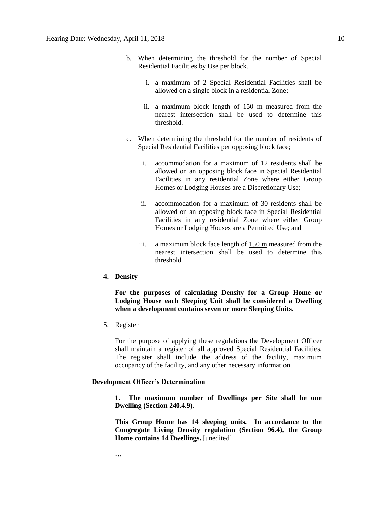- b. When determining the threshold for the number of Special Residential Facilities by Use per block.
	- i. a maximum of 2 Special Residential Facilities shall be allowed on a single block in a residential Zone;
	- ii. a maximum block length of [150 m](javascript:void(0);) measured from the nearest intersection shall be used to determine this threshold.
- c. When determining the threshold for the number of residents of Special Residential Facilities per opposing block face;
	- i. accommodation for a maximum of 12 residents shall be allowed on an opposing block face in Special Residential Facilities in any residential Zone where either Group Homes or Lodging Houses are a Discretionary Use;
	- ii. accommodation for a maximum of 30 residents shall be allowed on an opposing block face in Special Residential Facilities in any residential Zone where either Group Homes or Lodging Houses are a Permitted Use; and
	- iii. a maximum block face length of [150 m](javascript:void(0);) measured from the nearest intersection shall be used to determine this threshold.
- **4. Density**

**For the purposes of calculating Density for a Group Home or Lodging House each Sleeping Unit shall be considered a Dwelling when a development contains seven or more Sleeping Units.**

5. Register

For the purpose of applying these regulations the Development Officer shall maintain a register of all approved Special Residential Facilities. The register shall include the address of the facility, maximum occupancy of the facility, and any other necessary information.

### **Development Officer's Determination**

**1. The maximum number of Dwellings per Site shall be one Dwelling (Section 240.4.9).**

**This Group Home has 14 sleeping units. In accordance to the Congregate Living Density regulation (Section 96.4), the Group Home contains 14 Dwellings.** [unedited]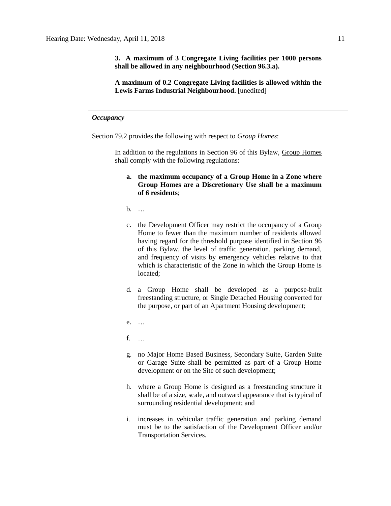**3. A maximum of 3 Congregate Living facilities per 1000 persons shall be allowed in any neighbourhood (Section 96.3.a).**

**A maximum of 0.2 Congregate Living facilities is allowed within the Lewis Farms Industrial Neighbourhood.** [unedited]

*Occupancy*

Section 79.2 provides the following with respect to *Group Homes*:

In addition to the regulations in Section 96 of this Bylaw, [Group Homes](javascript:void(0);) shall comply with the following regulations:

- **a. the maximum occupancy of a Group Home in a Zone where Group Homes are a Discretionary Use shall be a maximum of 6 residents**;
- b. …
- c. the Development Officer may restrict the occupancy of a Group Home to fewer than the maximum number of residents allowed having regard for the threshold purpose identified in Section 96 of this Bylaw, the level of traffic generation, parking demand, and frequency of visits by emergency vehicles relative to that which is characteristic of the Zone in which the Group Home is located;
- d. a Group Home shall be developed as a purpose-built freestanding structure, or [Single Detached Housing](javascript:void(0);) converted for the purpose, or part of an Apartment Housing development;
- e. …
- f. …
- g. no Major Home Based Business, Secondary Suite, Garden Suite or Garage Suite shall be permitted as part of a Group Home development or on the Site of such development;
- h. where a Group Home is designed as a freestanding structure it shall be of a size, scale, and outward appearance that is typical of surrounding residential development; and
- i. increases in vehicular traffic generation and parking demand must be to the satisfaction of the Development Officer and/or Transportation Services.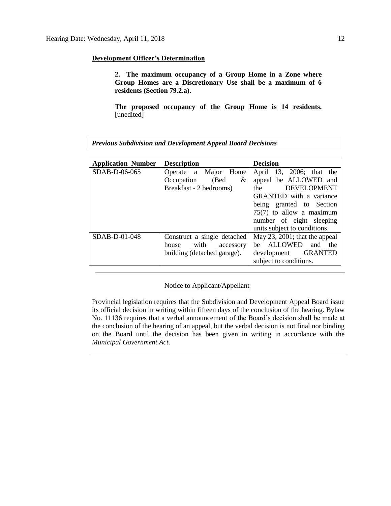## **Development Officer's Determination**

**2. The maximum occupancy of a Group Home in a Zone where Group Homes are a Discretionary Use shall be a maximum of 6 residents (Section 79.2.a).**

**The proposed occupancy of the Group Home is 14 residents.**  [unedited]

| <b>Application Number</b> | <b>Description</b>          | <b>Decision</b>                                                                                                                |  |  |
|---------------------------|-----------------------------|--------------------------------------------------------------------------------------------------------------------------------|--|--|
| SDAB-D-06-065             | Operate a Major Home        | April 13, 2006; that the                                                                                                       |  |  |
|                           | (Bed<br>Occupation<br>&     | appeal be ALLOWED and                                                                                                          |  |  |
|                           | Breakfast - 2 bedrooms)     | DEVELOPMENT<br>the the state of the state of the state of the state of the state of the state of the state of the state of the |  |  |
|                           |                             | <b>GRANTED</b> with a variance                                                                                                 |  |  |
|                           |                             | being granted to Section                                                                                                       |  |  |
|                           |                             | $75(7)$ to allow a maximum                                                                                                     |  |  |
|                           |                             | number of eight sleeping                                                                                                       |  |  |
|                           |                             | units subject to conditions.                                                                                                   |  |  |
| $SDAB-D-01-048$           | Construct a single detached | May 23, 2001; that the appeal                                                                                                  |  |  |
|                           | with<br>house<br>accessory  | be ALLOWED<br>and<br>the                                                                                                       |  |  |
|                           | building (detached garage). | development GRANTED                                                                                                            |  |  |
|                           |                             | subject to conditions.                                                                                                         |  |  |

*Previous Subdivision and Development Appeal Board Decisions*

## Notice to Applicant/Appellant

Provincial legislation requires that the Subdivision and Development Appeal Board issue its official decision in writing within fifteen days of the conclusion of the hearing. Bylaw No. 11136 requires that a verbal announcement of the Board's decision shall be made at the conclusion of the hearing of an appeal, but the verbal decision is not final nor binding on the Board until the decision has been given in writing in accordance with the *Municipal Government Act*.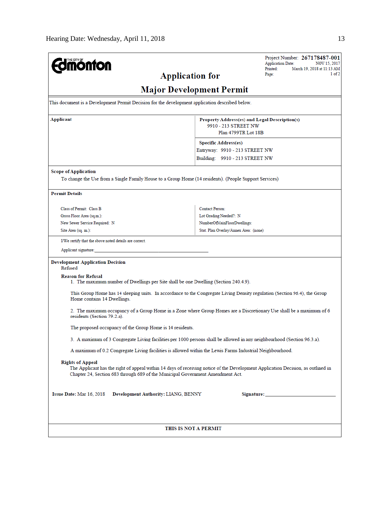| <b>nonton</b>                                                                                                     | Project Number: 267178487-001<br><b>Application Date:</b><br>NOV 15, 2017                                                        |  |  |  |
|-------------------------------------------------------------------------------------------------------------------|----------------------------------------------------------------------------------------------------------------------------------|--|--|--|
| <b>Application for</b>                                                                                            | <b>Printed:</b><br>March 19, 2018 at 11:13 AM<br>1 of 2<br>Page:                                                                 |  |  |  |
|                                                                                                                   |                                                                                                                                  |  |  |  |
|                                                                                                                   | <b>Major Development Permit</b>                                                                                                  |  |  |  |
| This document is a Development Permit Decision for the development application described below.                   |                                                                                                                                  |  |  |  |
| Applicant                                                                                                         | Property Address(es) and Legal Description(s)                                                                                    |  |  |  |
|                                                                                                                   | 9910 - 213 STREET NW<br>Plan 4799TR Lot 18B                                                                                      |  |  |  |
|                                                                                                                   | <b>Specific Address(es)</b>                                                                                                      |  |  |  |
|                                                                                                                   | Entryway: 9910 - 213 STREET NW                                                                                                   |  |  |  |
|                                                                                                                   | Building: 9910 - 213 STREET NW                                                                                                   |  |  |  |
| <b>Scope of Application</b>                                                                                       |                                                                                                                                  |  |  |  |
| To change the Use from a Single Family House to a Group Home (14 residents). (People Support Services)            |                                                                                                                                  |  |  |  |
| <b>Permit Details</b>                                                                                             |                                                                                                                                  |  |  |  |
| Class of Permit: Class B                                                                                          | Contact Person:                                                                                                                  |  |  |  |
| Gross Floor Area (sq.m.):                                                                                         | Lot Grading Needed?: N                                                                                                           |  |  |  |
| New Sewer Service Required: N                                                                                     | NumberOfMainFloorDwellings:                                                                                                      |  |  |  |
| Site Area (sq. m.):                                                                                               | Stat. Plan Overlay/Annex Area: (none)                                                                                            |  |  |  |
| I/We certify that the above noted details are correct.                                                            |                                                                                                                                  |  |  |  |
| Applicant signature:                                                                                              |                                                                                                                                  |  |  |  |
| <b>Development Application Decision</b><br>Refused                                                                |                                                                                                                                  |  |  |  |
| <b>Reason for Refusal</b><br>1. The maximum number of Dwellings per Site shall be one Dwelling (Section 240.4.9). |                                                                                                                                  |  |  |  |
| Home contains 14 Dwellings.                                                                                       | This Group Home has 14 sleeping units. In accordance to the Congregate Living Density regulation (Section 96.4), the Group       |  |  |  |
| residents (Section 79.2.a).                                                                                       | 2. The maximum occupancy of a Group Home in a Zone where Group Homes are a Discretionary Use shall be a maximum of 6             |  |  |  |
| The proposed occupancy of the Group Home is 14 residents.                                                         |                                                                                                                                  |  |  |  |
|                                                                                                                   | 3. A maximum of 3 Congregate Living facilities per 1000 persons shall be allowed in any neighbourhood (Section 96.3.a).          |  |  |  |
| A maximum of 0.2 Congregate Living facilities is allowed within the Lewis Farms Industrial Neighbourhood.         |                                                                                                                                  |  |  |  |
| <b>Rights of Appeal</b><br>Chapter 24, Section 683 through 689 of the Municipal Government Amendment Act.         | The Applicant has the right of appeal within 14 days of receiving notice of the Development Application Decision, as outlined in |  |  |  |
| Issue Date: Mar 16, 2018 Development Authority: LIANG, BENNY<br>Signature: National Commission of the Signature:  |                                                                                                                                  |  |  |  |
|                                                                                                                   |                                                                                                                                  |  |  |  |
| THIS IS NOT A PERMIT                                                                                              |                                                                                                                                  |  |  |  |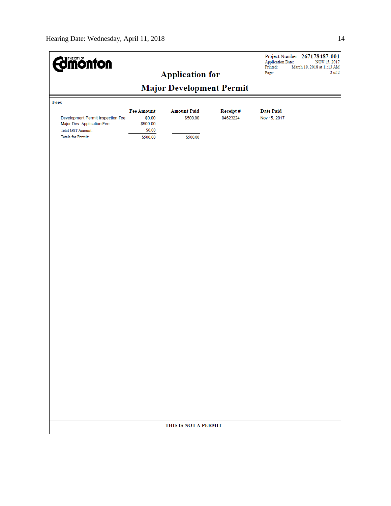| <b><i><u>dimonton</u></i></b>                                                                                            |                                                               | <b>Application for</b>                     |                      | <b>Application Date:</b><br>Printed:<br>Page: | Project Number: 267178487-001<br>NOV 15, 2017<br>March 19, 2018 at 11:13 AM<br>$2$ of $2$ |  |  |  |  |
|--------------------------------------------------------------------------------------------------------------------------|---------------------------------------------------------------|--------------------------------------------|----------------------|-----------------------------------------------|-------------------------------------------------------------------------------------------|--|--|--|--|
| <b>Major Development Permit</b>                                                                                          |                                                               |                                            |                      |                                               |                                                                                           |  |  |  |  |
| Fees                                                                                                                     |                                                               |                                            |                      |                                               |                                                                                           |  |  |  |  |
| Development Permit Inspection Fee<br>Major Dev. Application Fee<br><b>Total GST Amount:</b><br><b>Totals for Permit:</b> | <b>Fee Amount</b><br>\$0.00<br>\$500.00<br>\$0.00<br>\$500.00 | <b>Amount Paid</b><br>\$500.00<br>\$500.00 | Receipt#<br>04623224 | <b>Date Paid</b><br>Nov 15, 2017              |                                                                                           |  |  |  |  |
|                                                                                                                          |                                                               |                                            |                      |                                               |                                                                                           |  |  |  |  |
|                                                                                                                          |                                                               |                                            |                      |                                               |                                                                                           |  |  |  |  |
|                                                                                                                          |                                                               |                                            |                      |                                               |                                                                                           |  |  |  |  |
|                                                                                                                          |                                                               |                                            |                      |                                               |                                                                                           |  |  |  |  |
|                                                                                                                          |                                                               |                                            |                      |                                               |                                                                                           |  |  |  |  |
|                                                                                                                          |                                                               |                                            |                      |                                               |                                                                                           |  |  |  |  |
|                                                                                                                          |                                                               |                                            |                      |                                               |                                                                                           |  |  |  |  |
|                                                                                                                          |                                                               |                                            |                      |                                               |                                                                                           |  |  |  |  |
|                                                                                                                          |                                                               | THIS IS NOT A PERMIT                       |                      |                                               |                                                                                           |  |  |  |  |
|                                                                                                                          |                                                               |                                            |                      |                                               |                                                                                           |  |  |  |  |